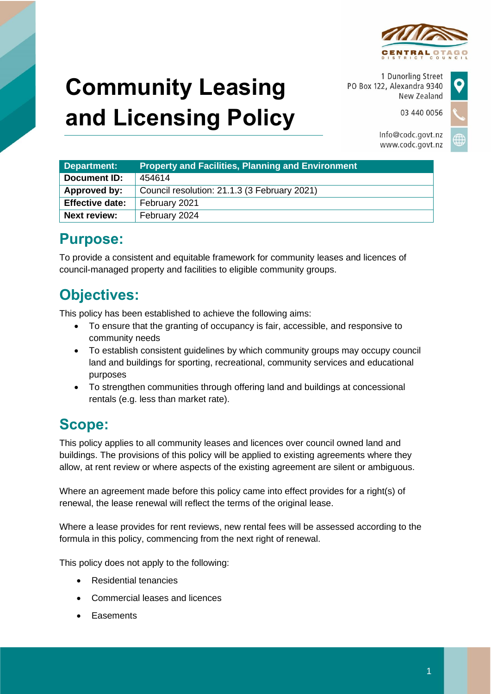

# **Community Leasing and Licensing Policy**

1 Dunorling Street PO Box 122, Alexandra 9340 New Zealand

> Info@codc.govt.nz www.codc.govt.nz

03 440 0056



| Department:            | <b>Property and Facilities, Planning and Environment</b> |
|------------------------|----------------------------------------------------------|
| Document ID:           | 454614                                                   |
| Approved by:           | Council resolution: 21.1.3 (3 February 2021)             |
| <b>Effective date:</b> | February 2021                                            |
| <b>Next review:</b>    | February 2024                                            |

# **Purpose:**

To provide a consistent and equitable framework for community leases and licences of council-managed property and facilities to eligible community groups.

# **Objectives:**

This policy has been established to achieve the following aims:

- To ensure that the granting of occupancy is fair, accessible, and responsive to community needs
- To establish consistent guidelines by which community groups may occupy council land and buildings for sporting, recreational, community services and educational purposes
- To strengthen communities through offering land and buildings at concessional rentals (e.g. less than market rate).

# **Scope:**

This policy applies to all community leases and licences over council owned land and buildings. The provisions of this policy will be applied to existing agreements where they allow, at rent review or where aspects of the existing agreement are silent or ambiguous.

Where an agreement made before this policy came into effect provides for a right(s) of renewal, the lease renewal will reflect the terms of the original lease.

Where a lease provides for rent reviews, new rental fees will be assessed according to the formula in this policy, commencing from the next right of renewal.

This policy does not apply to the following:

- Residential tenancies
- Commercial leases and licences
- **Easements**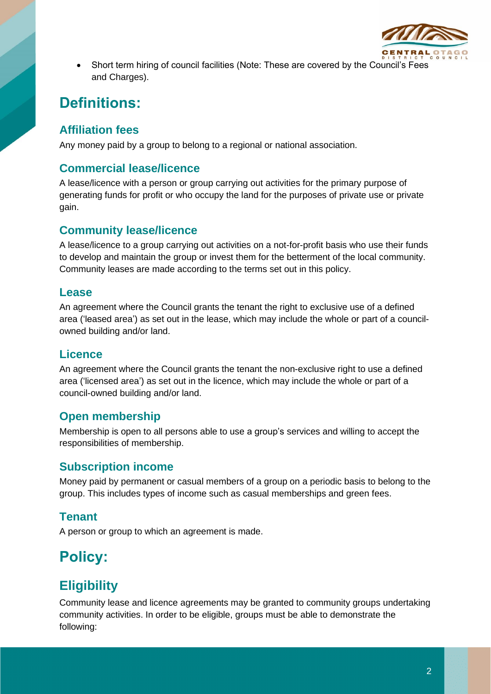

• Short term hiring of council facilities (Note: These are covered by the Council's Fees and Charges).

# **Definitions:**

#### **Affiliation fees**

Any money paid by a group to belong to a regional or national association.

#### **Commercial lease/licence**

A lease/licence with a person or group carrying out activities for the primary purpose of generating funds for profit or who occupy the land for the purposes of private use or private gain.

#### **Community lease/licence**

A lease/licence to a group carrying out activities on a not-for-profit basis who use their funds to develop and maintain the group or invest them for the betterment of the local community. Community leases are made according to the terms set out in this policy.

#### **Lease**

An agreement where the Council grants the tenant the right to exclusive use of a defined area ('leased area') as set out in the lease, which may include the whole or part of a councilowned building and/or land.

#### **Licence**

An agreement where the Council grants the tenant the non-exclusive right to use a defined area ('licensed area') as set out in the licence, which may include the whole or part of a council-owned building and/or land.

#### **Open membership**

Membership is open to all persons able to use a group's services and willing to accept the responsibilities of membership.

#### **Subscription income**

Money paid by permanent or casual members of a group on a periodic basis to belong to the group. This includes types of income such as casual memberships and green fees.

#### **Tenant**

A person or group to which an agreement is made.

# **Policy:**

### **Eligibility**

Community lease and licence agreements may be granted to community groups undertaking community activities. In order to be eligible, groups must be able to demonstrate the following: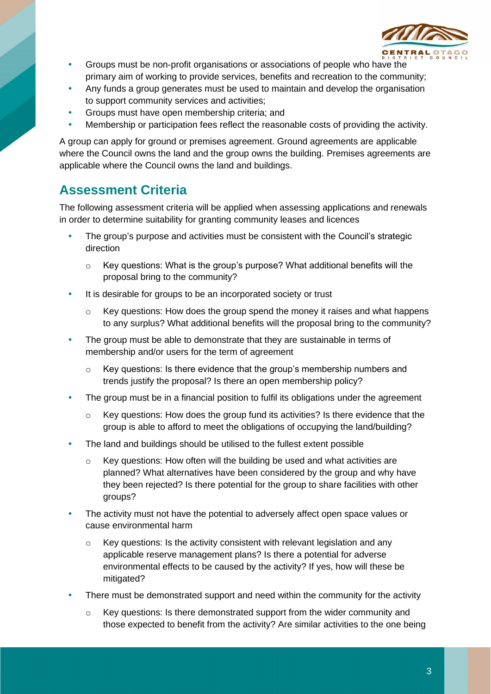

- Groups must be non-profit organisations or associations of people who have the primary aim of working to provide services, benefits and recreation to the community;
- Any funds a group generates must be used to maintain and develop the organisation to support community services and activities;
- Groups must have open membership criteria; and
- Membership or participation fees reflect the reasonable costs of providing the activity.

A group can apply for ground or premises agreement. Ground agreements are applicable where the Council owns the land and the group owns the building. Premises agreements are applicable where the Council owns the land and buildings.

#### **Assessment Criteria**

The following assessment criteria will be applied when assessing applications and renewals in order to determine suitability for granting community leases and licences

- The group's purpose and activities must be consistent with the Council's strategic direction
	- o Key questions: What is the group's purpose? What additional benefits will the proposal bring to the community?
- It is desirable for groups to be an incorporated society or trust
	- $\circ$  Key questions: How does the group spend the money it raises and what happens to any surplus? What additional benefits will the proposal bring to the community?
- The group must be able to demonstrate that they are sustainable in terms of membership and/or users for the term of agreement
	- o Key questions: Is there evidence that the group's membership numbers and trends justify the proposal? Is there an open membership policy?
- The group must be in a financial position to fulfil its obligations under the agreement
	- o Key questions: How does the group fund its activities? Is there evidence that the group is able to afford to meet the obligations of occupying the land/building?
- The land and buildings should be utilised to the fullest extent possible
	- o Key questions: How often will the building be used and what activities are planned? What alternatives have been considered by the group and why have they been rejected? Is there potential for the group to share facilities with other groups?
- The activity must not have the potential to adversely affect open space values or cause environmental harm
	- o Key questions: Is the activity consistent with relevant legislation and any applicable reserve management plans? Is there a potential for adverse environmental effects to be caused by the activity? If yes, how will these be mitigated?
- There must be demonstrated support and need within the community for the activity
	- $\circ$  Key questions: Is there demonstrated support from the wider community and those expected to benefit from the activity? Are similar activities to the one being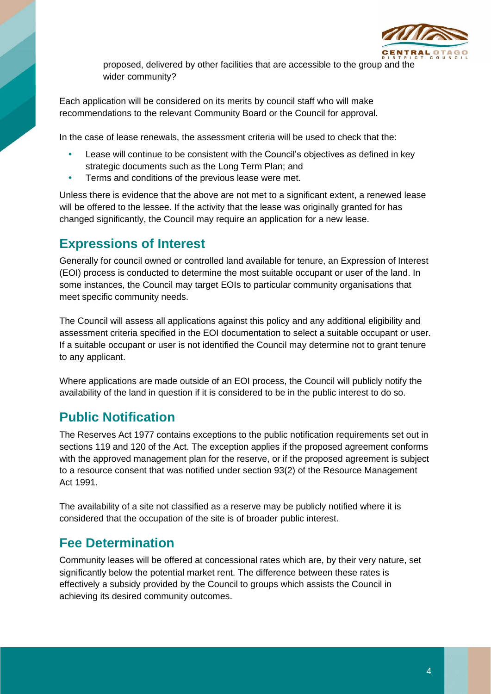

proposed, delivered by other facilities that are accessible to the group and the wider community?

Each application will be considered on its merits by council staff who will make recommendations to the relevant Community Board or the Council for approval.

In the case of lease renewals, the assessment criteria will be used to check that the:

- Lease will continue to be consistent with the Council's objectives as defined in key strategic documents such as the Long Term Plan; and
- Terms and conditions of the previous lease were met.

Unless there is evidence that the above are not met to a significant extent, a renewed lease will be offered to the lessee. If the activity that the lease was originally granted for has changed significantly, the Council may require an application for a new lease.

#### **Expressions of Interest**

Generally for council owned or controlled land available for tenure, an Expression of Interest (EOI) process is conducted to determine the most suitable occupant or user of the land. In some instances, the Council may target EOIs to particular community organisations that meet specific community needs.

The Council will assess all applications against this policy and any additional eligibility and assessment criteria specified in the EOI documentation to select a suitable occupant or user. If a suitable occupant or user is not identified the Council may determine not to grant tenure to any applicant.

Where applications are made outside of an EOI process, the Council will publicly notify the availability of the land in question if it is considered to be in the public interest to do so.

#### **Public Notification**

The Reserves Act 1977 contains exceptions to the public notification requirements set out in sections 119 and 120 of the Act. The exception applies if the proposed agreement conforms with the approved management plan for the reserve, or if the proposed agreement is subject to a resource consent that was notified under section 93(2) of the Resource Management Act 1991.

The availability of a site not classified as a reserve may be publicly notified where it is considered that the occupation of the site is of broader public interest.

#### **Fee Determination**

Community leases will be offered at concessional rates which are, by their very nature, set significantly below the potential market rent. The difference between these rates is effectively a subsidy provided by the Council to groups which assists the Council in achieving its desired community outcomes.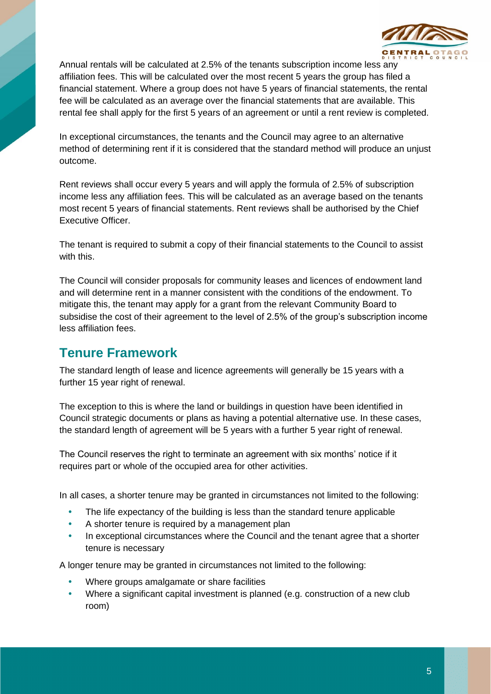

Annual rentals will be calculated at 2.5% of the tenants subscription income less any affiliation fees. This will be calculated over the most recent 5 years the group has filed a financial statement. Where a group does not have 5 years of financial statements, the rental fee will be calculated as an average over the financial statements that are available. This rental fee shall apply for the first 5 years of an agreement or until a rent review is completed.

In exceptional circumstances, the tenants and the Council may agree to an alternative method of determining rent if it is considered that the standard method will produce an unjust outcome.

Rent reviews shall occur every 5 years and will apply the formula of 2.5% of subscription income less any affiliation fees. This will be calculated as an average based on the tenants most recent 5 years of financial statements. Rent reviews shall be authorised by the Chief Executive Officer.

The tenant is required to submit a copy of their financial statements to the Council to assist with this.

The Council will consider proposals for community leases and licences of endowment land and will determine rent in a manner consistent with the conditions of the endowment. To mitigate this, the tenant may apply for a grant from the relevant Community Board to subsidise the cost of their agreement to the level of 2.5% of the group's subscription income less affiliation fees.

#### **Tenure Framework**

The standard length of lease and licence agreements will generally be 15 years with a further 15 year right of renewal.

The exception to this is where the land or buildings in question have been identified in Council strategic documents or plans as having a potential alternative use. In these cases, the standard length of agreement will be 5 years with a further 5 year right of renewal.

The Council reserves the right to terminate an agreement with six months' notice if it requires part or whole of the occupied area for other activities.

In all cases, a shorter tenure may be granted in circumstances not limited to the following:

- The life expectancy of the building is less than the standard tenure applicable
- A shorter tenure is required by a management plan
- In exceptional circumstances where the Council and the tenant agree that a shorter tenure is necessary

A longer tenure may be granted in circumstances not limited to the following:

- Where groups amalgamate or share facilities
- Where a significant capital investment is planned (e.g. construction of a new club room)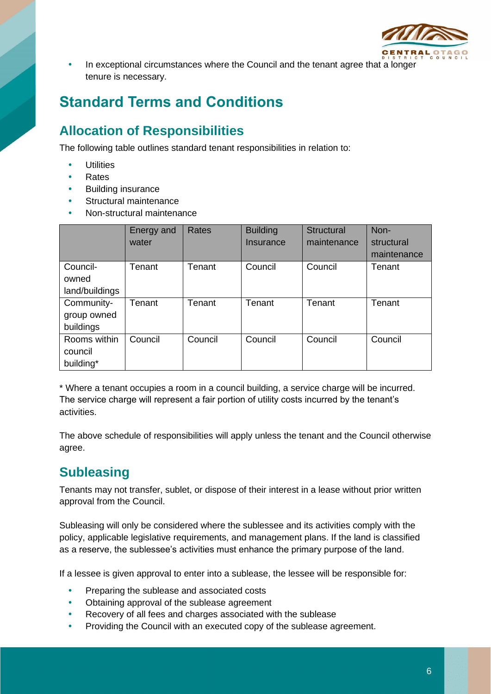

• In exceptional circumstances where the Council and the tenant agree that a longer tenure is necessary.

# **Standard Terms and Conditions**

### **Allocation of Responsibilities**

The following table outlines standard tenant responsibilities in relation to:

- **Utilities**
- Rates
- Building insurance
- Structural maintenance
- Non-structural maintenance

|                | Energy and | Rates   | <b>Building</b> | <b>Structural</b> | Non-        |
|----------------|------------|---------|-----------------|-------------------|-------------|
|                | water      |         | Insurance       | maintenance       | structural  |
|                |            |         |                 |                   | maintenance |
| Council-       | Tenant     | Tenant  | Council         | Council           | Tenant      |
| owned          |            |         |                 |                   |             |
| land/buildings |            |         |                 |                   |             |
| Community-     | Tenant     | Tenant  | Tenant          | Tenant            | Tenant      |
| group owned    |            |         |                 |                   |             |
| buildings      |            |         |                 |                   |             |
| Rooms within   | Council    | Council | Council         | Council           | Council     |
| council        |            |         |                 |                   |             |
| building*      |            |         |                 |                   |             |

\* Where a tenant occupies a room in a council building, a service charge will be incurred. The service charge will represent a fair portion of utility costs incurred by the tenant's activities.

The above schedule of responsibilities will apply unless the tenant and the Council otherwise agree.

### **Subleasing**

Tenants may not transfer, sublet, or dispose of their interest in a lease without prior written approval from the Council.

Subleasing will only be considered where the sublessee and its activities comply with the policy, applicable legislative requirements, and management plans. If the land is classified as a reserve, the sublessee's activities must enhance the primary purpose of the land.

If a lessee is given approval to enter into a sublease, the lessee will be responsible for:

- Preparing the sublease and associated costs
- Obtaining approval of the sublease agreement
- Recovery of all fees and charges associated with the sublease
- Providing the Council with an executed copy of the sublease agreement.